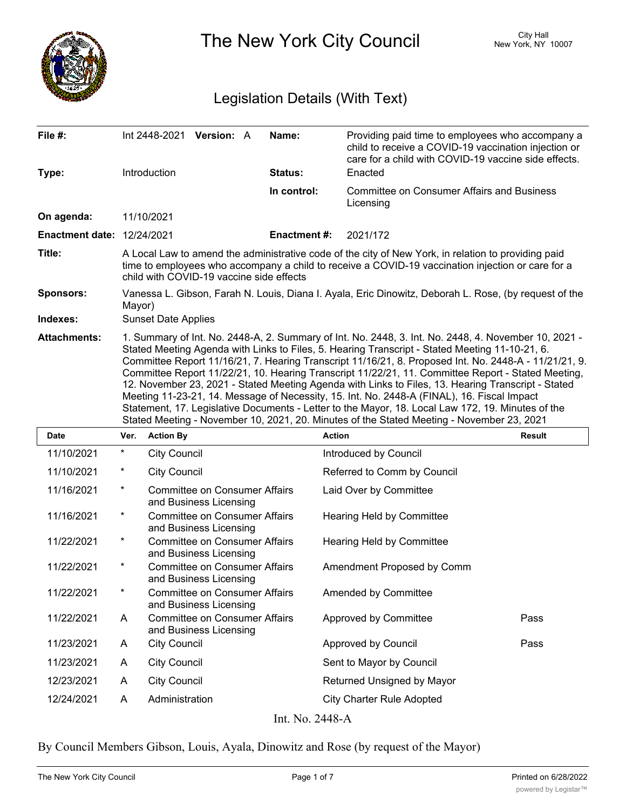

The New York City Council New York, NY 10007

## Legislation Details (With Text)

| File #:                           |                                                                                                                                                                                                                                                                                                                                                                                                                                                                                                                                                                                                                                                                                                                                                                                                                             |                     | Int 2448-2021 Version: A                                       |  | Name:              | Providing paid time to employees who accompany a<br>child to receive a COVID-19 vaccination injection or<br>care for a child with COVID-19 vaccine side effects. |  |  |
|-----------------------------------|-----------------------------------------------------------------------------------------------------------------------------------------------------------------------------------------------------------------------------------------------------------------------------------------------------------------------------------------------------------------------------------------------------------------------------------------------------------------------------------------------------------------------------------------------------------------------------------------------------------------------------------------------------------------------------------------------------------------------------------------------------------------------------------------------------------------------------|---------------------|----------------------------------------------------------------|--|--------------------|------------------------------------------------------------------------------------------------------------------------------------------------------------------|--|--|
| Type:                             |                                                                                                                                                                                                                                                                                                                                                                                                                                                                                                                                                                                                                                                                                                                                                                                                                             | Introduction        |                                                                |  | <b>Status:</b>     | Enacted                                                                                                                                                          |  |  |
|                                   |                                                                                                                                                                                                                                                                                                                                                                                                                                                                                                                                                                                                                                                                                                                                                                                                                             |                     |                                                                |  | In control:        | <b>Committee on Consumer Affairs and Business</b><br>Licensing                                                                                                   |  |  |
| On agenda:                        |                                                                                                                                                                                                                                                                                                                                                                                                                                                                                                                                                                                                                                                                                                                                                                                                                             | 11/10/2021          |                                                                |  |                    |                                                                                                                                                                  |  |  |
| <b>Enactment date: 12/24/2021</b> |                                                                                                                                                                                                                                                                                                                                                                                                                                                                                                                                                                                                                                                                                                                                                                                                                             |                     |                                                                |  | <b>Enactment#:</b> | 2021/172                                                                                                                                                         |  |  |
| Title:                            | A Local Law to amend the administrative code of the city of New York, in relation to providing paid<br>time to employees who accompany a child to receive a COVID-19 vaccination injection or care for a<br>child with COVID-19 vaccine side effects                                                                                                                                                                                                                                                                                                                                                                                                                                                                                                                                                                        |                     |                                                                |  |                    |                                                                                                                                                                  |  |  |
| <b>Sponsors:</b>                  | Vanessa L. Gibson, Farah N. Louis, Diana I. Ayala, Eric Dinowitz, Deborah L. Rose, (by request of the<br>Mayor)                                                                                                                                                                                                                                                                                                                                                                                                                                                                                                                                                                                                                                                                                                             |                     |                                                                |  |                    |                                                                                                                                                                  |  |  |
| Indexes:                          | <b>Sunset Date Applies</b>                                                                                                                                                                                                                                                                                                                                                                                                                                                                                                                                                                                                                                                                                                                                                                                                  |                     |                                                                |  |                    |                                                                                                                                                                  |  |  |
| <b>Attachments:</b>               | 1. Summary of Int. No. 2448-A, 2. Summary of Int. No. 2448, 3. Int. No. 2448, 4. November 10, 2021 -<br>Stated Meeting Agenda with Links to Files, 5. Hearing Transcript - Stated Meeting 11-10-21, 6.<br>Committee Report 11/16/21, 7. Hearing Transcript 11/16/21, 8. Proposed Int. No. 2448-A - 11/21/21, 9.<br>Committee Report 11/22/21, 10. Hearing Transcript 11/22/21, 11. Committee Report - Stated Meeting,<br>12. November 23, 2021 - Stated Meeting Agenda with Links to Files, 13. Hearing Transcript - Stated<br>Meeting 11-23-21, 14. Message of Necessity, 15. Int. No. 2448-A (FINAL), 16. Fiscal Impact<br>Statement, 17. Legislative Documents - Letter to the Mayor, 18. Local Law 172, 19. Minutes of the<br>Stated Meeting - November 10, 2021, 20. Minutes of the Stated Meeting - November 23, 2021 |                     |                                                                |  |                    |                                                                                                                                                                  |  |  |
| <b>Date</b>                       | Ver.                                                                                                                                                                                                                                                                                                                                                                                                                                                                                                                                                                                                                                                                                                                                                                                                                        | <b>Action By</b>    |                                                                |  |                    | <b>Action</b><br><b>Result</b>                                                                                                                                   |  |  |
| 11/10/2021                        | *                                                                                                                                                                                                                                                                                                                                                                                                                                                                                                                                                                                                                                                                                                                                                                                                                           | <b>City Council</b> |                                                                |  |                    | Introduced by Council                                                                                                                                            |  |  |
| 11/10/2021                        | *                                                                                                                                                                                                                                                                                                                                                                                                                                                                                                                                                                                                                                                                                                                                                                                                                           | <b>City Council</b> |                                                                |  |                    | Referred to Comm by Council                                                                                                                                      |  |  |
| 11/16/2021                        | $^\star$                                                                                                                                                                                                                                                                                                                                                                                                                                                                                                                                                                                                                                                                                                                                                                                                                    |                     | <b>Committee on Consumer Affairs</b><br>and Business Licensing |  |                    | Laid Over by Committee                                                                                                                                           |  |  |
| 1111010001                        |                                                                                                                                                                                                                                                                                                                                                                                                                                                                                                                                                                                                                                                                                                                                                                                                                             |                     | $C$ approxitting an $C$ approximate $\Lambda$ ffaing           |  |                    | Llessing Lleld by Committee                                                                                                                                      |  |  |

| 11/16/2021 | $^\star$ | Committee on Consumer Affairs<br>and Business Licensing        | Hearing Held by Committee        |      |
|------------|----------|----------------------------------------------------------------|----------------------------------|------|
| 11/22/2021 | $\ast$   | <b>Committee on Consumer Affairs</b><br>and Business Licensing | Hearing Held by Committee        |      |
| 11/22/2021 | $^\ast$  | <b>Committee on Consumer Affairs</b><br>and Business Licensing | Amendment Proposed by Comm       |      |
| 11/22/2021 | $\ast$   | <b>Committee on Consumer Affairs</b><br>and Business Licensing | <b>Amended by Committee</b>      |      |
| 11/22/2021 | A        | <b>Committee on Consumer Affairs</b><br>and Business Licensing | Approved by Committee            | Pass |
| 11/23/2021 | A        | <b>City Council</b>                                            | Approved by Council              | Pass |
| 11/23/2021 | A        | <b>City Council</b>                                            | Sent to Mayor by Council         |      |
| 12/23/2021 | A        | City Council                                                   | Returned Unsigned by Mayor       |      |
| 12/24/2021 | A        | Administration                                                 | <b>City Charter Rule Adopted</b> |      |
|            |          | T J NT 7440 A                                                  |                                  |      |

Int. No. 2448-A

By Council Members Gibson, Louis, Ayala, Dinowitz and Rose (by request of the Mayor)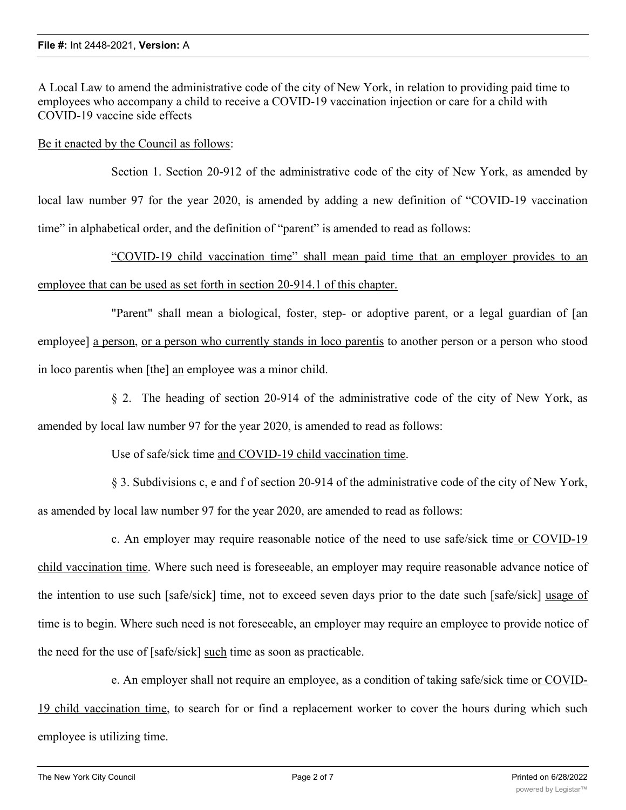A Local Law to amend the administrative code of the city of New York, in relation to providing paid time to employees who accompany a child to receive a COVID-19 vaccination injection or care for a child with COVID-19 vaccine side effects

Be it enacted by the Council as follows:

Section 1. Section 20-912 of the administrative code of the city of New York, as amended by local law number 97 for the year 2020, is amended by adding a new definition of "COVID-19 vaccination time" in alphabetical order, and the definition of "parent" is amended to read as follows:

"COVID-19 child vaccination time" shall mean paid time that an employer provides to an employee that can be used as set forth in section 20-914.1 of this chapter.

"Parent" shall mean a biological, foster, step- or adoptive parent, or a legal guardian of [an employee] a person, or a person who currently stands in loco parentis to another person or a person who stood in loco parentis when [the] an employee was a minor child.

§ 2. The heading of section 20-914 of the administrative code of the city of New York, as amended by local law number 97 for the year 2020, is amended to read as follows:

Use of safe/sick time and COVID-19 child vaccination time.

§ 3. Subdivisions c, e and f of section 20-914 of the administrative code of the city of New York, as amended by local law number 97 for the year 2020, are amended to read as follows:

c. An employer may require reasonable notice of the need to use safe/sick time or COVID-19 child vaccination time. Where such need is foreseeable, an employer may require reasonable advance notice of the intention to use such [safe/sick] time, not to exceed seven days prior to the date such [safe/sick] usage of time is to begin. Where such need is not foreseeable, an employer may require an employee to provide notice of the need for the use of [safe/sick] such time as soon as practicable.

e. An employer shall not require an employee, as a condition of taking safe/sick time or COVID-19 child vaccination time, to search for or find a replacement worker to cover the hours during which such employee is utilizing time.

f. Nothing in this chapter shall be constructed to problem taking disciplinary from taking disciplinary  $\mathcal{L}$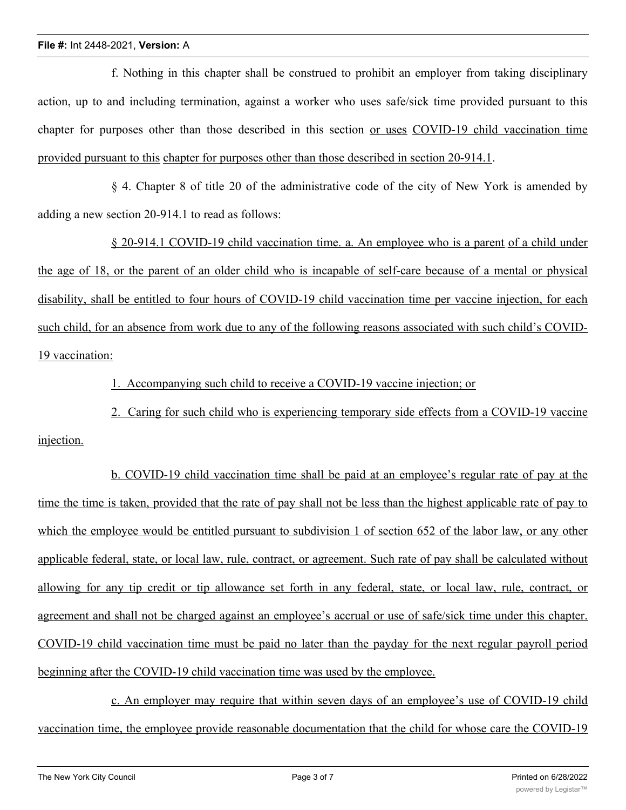## **File #:** Int 2448-2021, **Version:** A

f. Nothing in this chapter shall be construed to prohibit an employer from taking disciplinary action, up to and including termination, against a worker who uses safe/sick time provided pursuant to this chapter for purposes other than those described in this section or uses COVID-19 child vaccination time provided pursuant to this chapter for purposes other than those described in section 20-914.1.

§ 4. Chapter 8 of title 20 of the administrative code of the city of New York is amended by adding a new section 20-914.1 to read as follows:

§ 20-914.1 COVID-19 child vaccination time. a. An employee who is a parent of a child under the age of 18, or the parent of an older child who is incapable of self-care because of a mental or physical disability, shall be entitled to four hours of COVID-19 child vaccination time per vaccine injection, for each such child, for an absence from work due to any of the following reasons associated with such child's COVID-19 vaccination:

1. Accompanying such child to receive a COVID-19 vaccine injection; or

2. Caring for such child who is experiencing temporary side effects from a COVID-19 vaccine injection.

b. COVID-19 child vaccination time shall be paid at an employee's regular rate of pay at the time the time is taken, provided that the rate of pay shall not be less than the highest applicable rate of pay to which the employee would be entitled pursuant to subdivision 1 of section 652 of the labor law, or any other applicable federal, state, or local law, rule, contract, or agreement. Such rate of pay shall be calculated without allowing for any tip credit or tip allowance set forth in any federal, state, or local law, rule, contract, or agreement and shall not be charged against an employee's accrual or use of safe/sick time under this chapter. COVID-19 child vaccination time must be paid no later than the payday for the next regular payroll period beginning after the COVID-19 child vaccination time was used by the employee.

c. An employer may require that within seven days of an employee's use of COVID-19 child vaccination time, the employee provide reasonable documentation that the child for whose care the COVID-19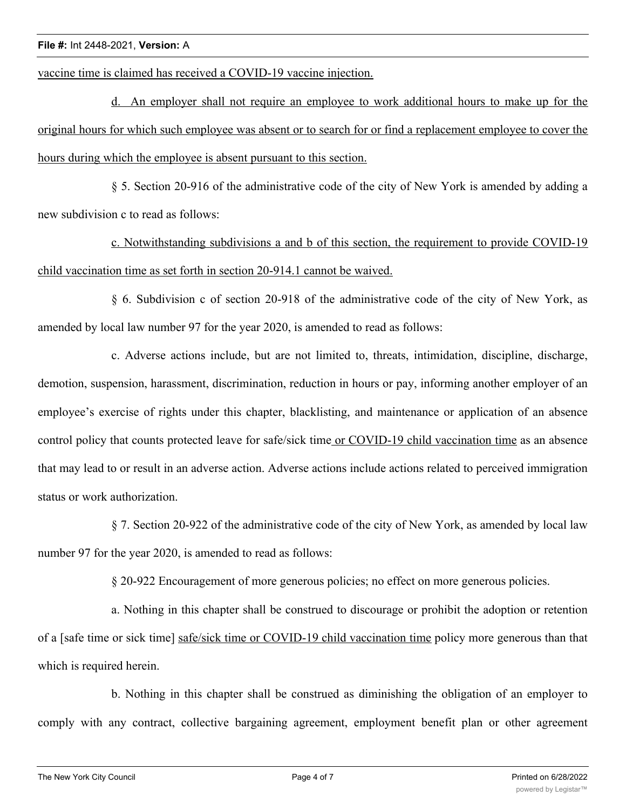## **File #:** Int 2448-2021, **Version:** A

vaccine time is claimed has received a COVID-19 vaccine injection.

d. An employer shall not require an employee to work additional hours to make up for the original hours for which such employee was absent or to search for or find a replacement employee to cover the hours during which the employee is absent pursuant to this section.

§ 5. Section 20-916 of the administrative code of the city of New York is amended by adding a new subdivision c to read as follows:

c. Notwithstanding subdivisions a and b of this section, the requirement to provide COVID-19 child vaccination time as set forth in section 20-914.1 cannot be waived.

§ 6. Subdivision c of section 20-918 of the administrative code of the city of New York, as amended by local law number 97 for the year 2020, is amended to read as follows:

c. Adverse actions include, but are not limited to, threats, intimidation, discipline, discharge, demotion, suspension, harassment, discrimination, reduction in hours or pay, informing another employer of an employee's exercise of rights under this chapter, blacklisting, and maintenance or application of an absence control policy that counts protected leave for safe/sick time or COVID-19 child vaccination time as an absence that may lead to or result in an adverse action. Adverse actions include actions related to perceived immigration status or work authorization.

§ 7. Section 20-922 of the administrative code of the city of New York, as amended by local law number 97 for the year 2020, is amended to read as follows:

§ 20-922 Encouragement of more generous policies; no effect on more generous policies.

a. Nothing in this chapter shall be construed to discourage or prohibit the adoption or retention of a [safe time or sick time] safe/sick time or COVID-19 child vaccination time policy more generous than that which is required herein.

b. Nothing in this chapter shall be construed as diminishing the obligation of an employer to comply with any contract, collective bargaining agreement, employment benefit plan or other agreement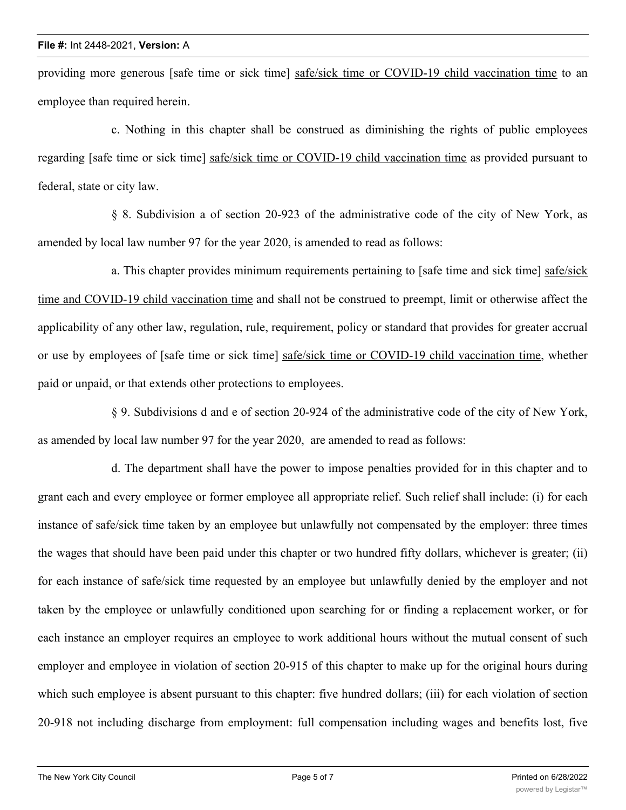providing more generous [safe time or sick time] safe/sick time or COVID-19 child vaccination time to an employee than required herein.

c. Nothing in this chapter shall be construed as diminishing the rights of public employees regarding [safe time or sick time] safe/sick time or COVID-19 child vaccination time as provided pursuant to federal, state or city law.

§ 8. Subdivision a of section 20-923 of the administrative code of the city of New York, as amended by local law number 97 for the year 2020, is amended to read as follows:

a. This chapter provides minimum requirements pertaining to [safe time and sick time] safe/sick time and COVID-19 child vaccination time and shall not be construed to preempt, limit or otherwise affect the applicability of any other law, regulation, rule, requirement, policy or standard that provides for greater accrual or use by employees of [safe time or sick time] safe/sick time or COVID-19 child vaccination time, whether paid or unpaid, or that extends other protections to employees.

§ 9. Subdivisions d and e of section 20-924 of the administrative code of the city of New York, as amended by local law number 97 for the year 2020, are amended to read as follows:

d. The department shall have the power to impose penalties provided for in this chapter and to grant each and every employee or former employee all appropriate relief. Such relief shall include: (i) for each instance of safe/sick time taken by an employee but unlawfully not compensated by the employer: three times the wages that should have been paid under this chapter or two hundred fifty dollars, whichever is greater; (ii) for each instance of safe/sick time requested by an employee but unlawfully denied by the employer and not taken by the employee or unlawfully conditioned upon searching for or finding a replacement worker, or for each instance an employer requires an employee to work additional hours without the mutual consent of such employer and employee in violation of section 20-915 of this chapter to make up for the original hours during which such employee is absent pursuant to this chapter: five hundred dollars; (iii) for each violation of section 20-918 not including discharge from employment: full compensation including wages and benefits lost, five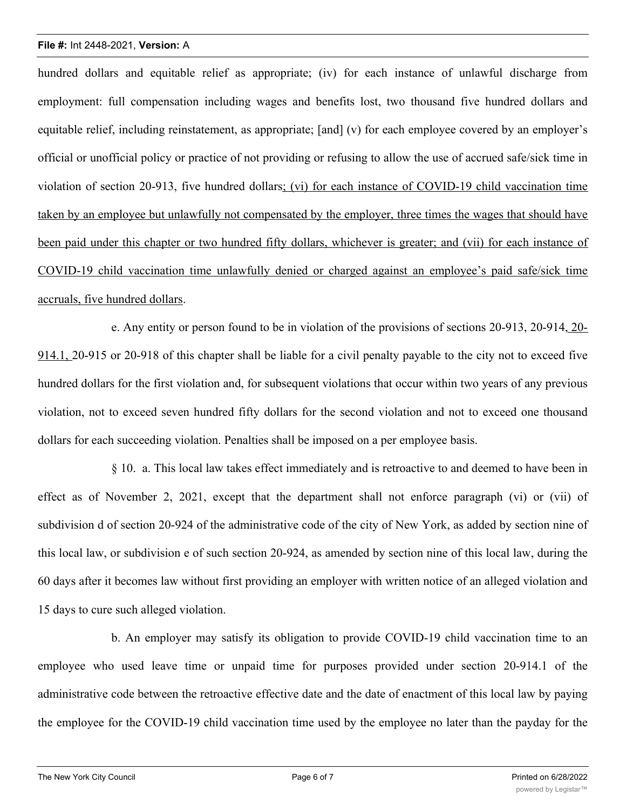## **File #:** Int 2448-2021, **Version:** A

hundred dollars and equitable relief as appropriate; (iv) for each instance of unlawful discharge from employment: full compensation including wages and benefits lost, two thousand five hundred dollars and equitable relief, including reinstatement, as appropriate; [and] (v) for each employee covered by an employer's official or unofficial policy or practice of not providing or refusing to allow the use of accrued safe/sick time in violation of section 20-913, five hundred dollars; (vi) for each instance of COVID-19 child vaccination time taken by an employee but unlawfully not compensated by the employer, three times the wages that should have been paid under this chapter or two hundred fifty dollars, whichever is greater; and (vii) for each instance of COVID-19 child vaccination time unlawfully denied or charged against an employee's paid safe/sick time accruals, five hundred dollars.

e. Any entity or person found to be in violation of the provisions of sections 20-913, 20-914, 20- 914.1, 20-915 or 20-918 of this chapter shall be liable for a civil penalty payable to the city not to exceed five hundred dollars for the first violation and, for subsequent violations that occur within two years of any previous violation, not to exceed seven hundred fifty dollars for the second violation and not to exceed one thousand dollars for each succeeding violation. Penalties shall be imposed on a per employee basis.

§ 10. a. This local law takes effect immediately and is retroactive to and deemed to have been in effect as of November 2, 2021, except that the department shall not enforce paragraph (vi) or (vii) of subdivision d of section 20-924 of the administrative code of the city of New York, as added by section nine of this local law, or subdivision e of such section 20-924, as amended by section nine of this local law, during the 60 days after it becomes law without first providing an employer with written notice of an alleged violation and 15 days to cure such alleged violation.

b. An employer may satisfy its obligation to provide COVID-19 child vaccination time to an employee who used leave time or unpaid time for purposes provided under section 20-914.1 of the administrative code between the retroactive effective date and the date of enactment of this local law by paying the employee for the COVID-19 child vaccination time used by the employee no later than the payday for the